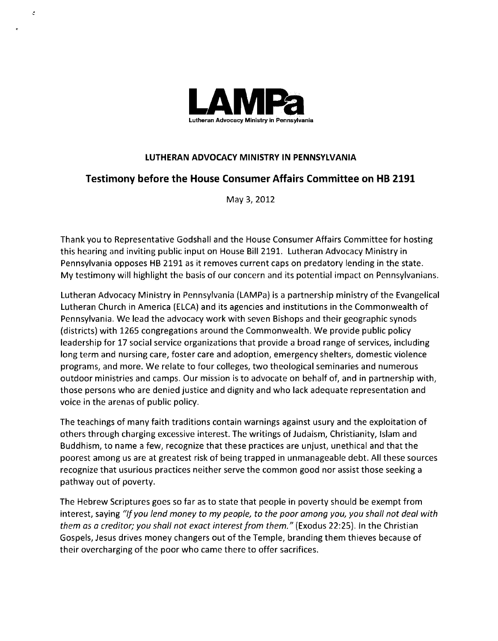

 $\epsilon$ 

## **LUTHERAN ADVOCACY MINISTRY IN PENNSYLVANIA**

## **Testimony before the House Consumer Affairs Committee on HB 2191**

May 3,2012

Thank you to Representative Godshall and the House Consumer Affairs Committee for hosting this hearing and inviting public input on House Bill 2191. Lutheran Advocacy Ministry in Pennsylvania opposes HB 2191 as it removes current caps on predatory lending in the state. My testimony will highlight the basis of our concern and its potential impact on Pennsylvanians.

Lutheran Advocacy Ministry in Pennsylvania (LANIPa) is a partnership ministry of the Evangelical Lutheran Church in America (ELCA) and its agencies and institutions in the Commonwealth of Pennsylvania. We lead the advocacy work with seven Bishops and their geographic synods (districts) with 1265 congregations around the Commonwealth. We provide public policy leadership for 17 social service organizations that provide a broad range of services, including long term and nursing care, foster care and adoption, emergency shelters, domestic violence programs, and more. We relate to four colleges, two theological seminaries and numerous outdoor ministries and camps. Our mission is to advocate on behalf of, and in partnership with, those persons who are denied justice and dignity and who lack adequate representation and voice in the arenas of public policy.

The teachings of many faith traditions contain warnings against usury and the exploitation of others through charging excessive interest. The writings of Judaism, Christianity, Islam and Buddhism, to name a few, recognize that these practices are unjust, unethical and that the poorest among us are at greatest risk of being trapped in unmanageable debt. All these sources recognize that usurious practices neither serve the common good nor assist those seeking a pathway out of poverty.

The Hebrew Scriptures goes so far as to state that people in poverty should be exempt from interest, saying "If you lend money to my people, to the poor among you, you shall not deal with them as a creditor; you shall not exact interest from them." (Exodus **22:25).** In the Christian Gospels, Jesus drives money changers out of the Temple, branding them thieves because of their overcharging of the poor who came there to offer sacrifices.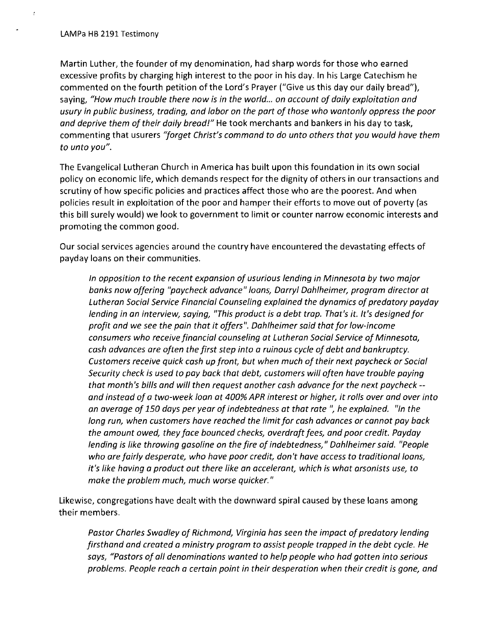$\overline{z}$ 

Martin Luther, the founder of my denomination, had sharp words for those who earned excessive profits by charging high interest to the poor in his day. In his Large Catechism he commented on the fourth petition of the Lord's Prayer ("Give us this day our daily bread"), saying, "How much trouble there now is in the world,.. on account of daily exploitation and usury in public business, trading, and labor on the part of those who wantonly oppress the poor and deprive them of their daily bread!" He took merchants and bankers in his day to task, commenting that usurers "forget Christ's command to do unto others that you would have them to unto you".

The Evangelical Lutheran Church in America has built upon this foundation in its own social policy on economic life, which demands respect for the dignity of others in our transactions and scrutiny of how specific policies and practices affect those who are the poorest. And when policies result in exploitation of the poor and hamper their efforts to move out of poverty (as this bill surely would) we look to government to limit or counter narrow economic interests and promoting the common good.

Our social services agencies around the country have encountered the devastating effects of payday loans on their communities.

In opposition to the recent expansion of usurious lending in Minnesota by two major banks now offering "paycheck advance" loans, Darryl Dahlheimer, program director at Lutheran Social Service Financial Counseling explained the dynamics of predatory payday lending in an interview, saying, "This product is a debt trap. That's it. It's designed for profit and we see the pain that it offers". Dahlheimer said that for low-income consumers who receive financial counseling at Lutheran Social Service of Minnesota, cash advances are often the first step into a ruinous cycle of debt and bankruptcy. Customers receive quick cash up front, but when much of their next paycheck or Social Security check is used to pay back that debt, customers will often have trouble paying that month's bills and will then request another cash advance for the next paycheck - and instead of a two-week loan at 400% APR interest or higher, it rolls over and over into an average of 150 days per year of indebtedness at that rate ", he explained. "In the long run, when customers have reached the limit for cash advances or cannot pay back the amount owed, they face bounced checks, overdraft fees, and poor credit. Payday lending is like throwing gasoline on the fire of indebtedness," Dahlheimer said. "People who are fairly desperate, who have poor credit, don't have access to traditional loans, it's like having a product out there like an accelerant, which is what arsonists use, to make the problem much, much worse quicker. "

Likewise, congregations have dealt with the downward spiral caused by these loans among their members.

Pastor Charles Swadley of Richmond, Virginia has seen the impact of predatory lending firsthand and created a ministry program to assist people trapped in the debt cycle. He says, "Pastors of all denominations wanted to help people who had gotten into serious problems. People reach a certain point in their desperation when their credit is gone, and